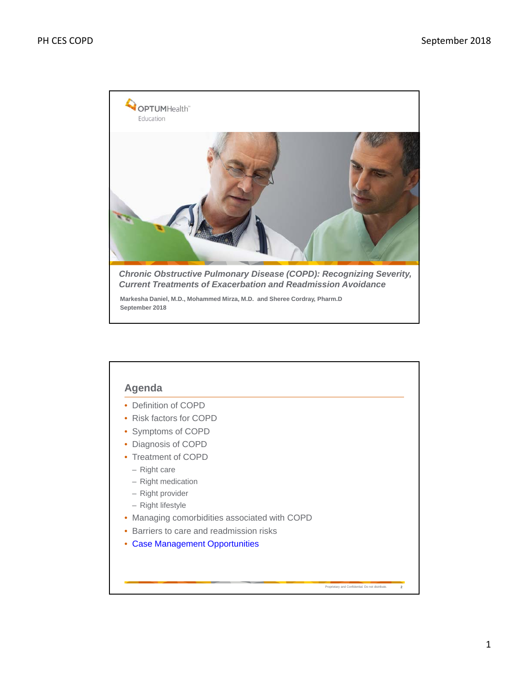

**Markesha Daniel, M.D., Mohammed Mirza, M.D. and Sheree Cordray, Pharm.D September 2018**

| Definition of COPD                          |  |
|---------------------------------------------|--|
| Risk factors for COPD<br>٠                  |  |
| Symptoms of COPD                            |  |
| Diagnosis of COPD                           |  |
| <b>Treatment of COPD</b><br>٠               |  |
| $-$ Right care                              |  |
| - Right medication                          |  |
| - Right provider                            |  |
| - Right lifestyle                           |  |
| Managing comorbidities associated with COPD |  |
| Barriers to care and readmission risks      |  |
| <b>Case Management Opportunities</b>        |  |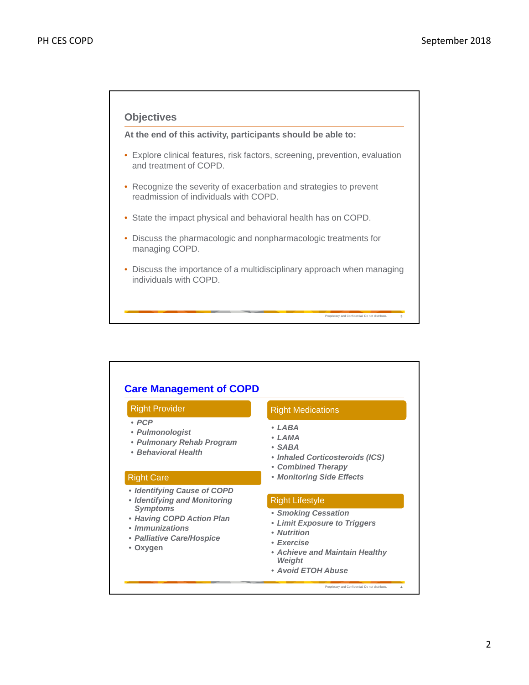# **Objectives**

**At the end of this activity, participants should be able to:**

- Explore clinical features, risk factors, screening, prevention, evaluation and treatment of COPD.
- Recognize the severity of exacerbation and strategies to prevent readmission of individuals with COPD.
- State the impact physical and behavioral health has on COPD.
- Discuss the pharmacologic and nonpharmacologic treatments for managing COPD.
- Discuss the importance of a multidisciplinary approach when managing individuals with COPD.

Proprietary and Confidential. Do not distribute. **3**

#### and Confidential. Do not distribute **Care Management of COPD** Right Provider • *PCP* • *Pulmonologist* • *Pulmonary Rehab Program* • *Behavioral Health* Right Medications • *LABA* • *LAMA* • *SABA* • *Inhaled Corticosteroids (ICS)*  • *Combined Therapy* Right Care • *Monitoring Side Effects* • *Identifying Cause of COPD* • *Identifying and Monitoring Symptoms* • *Having COPD Action Plan* • *Immunizations* • *Palliative Care/Hospice* • **Oxygen** Right Lifestyle • *Smoking Cessation* • *Limit Exposure to Triggers* • *Nutrition* • *Exercise* • *Achieve and Maintain Healthy Weight* • *Avoid ETOH Abuse*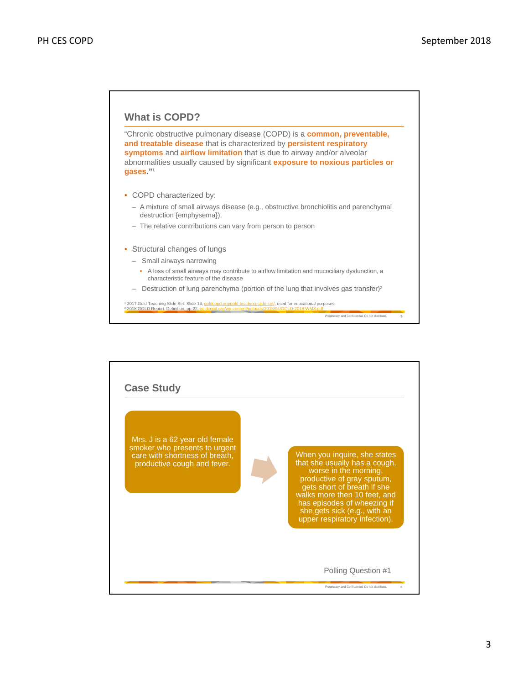

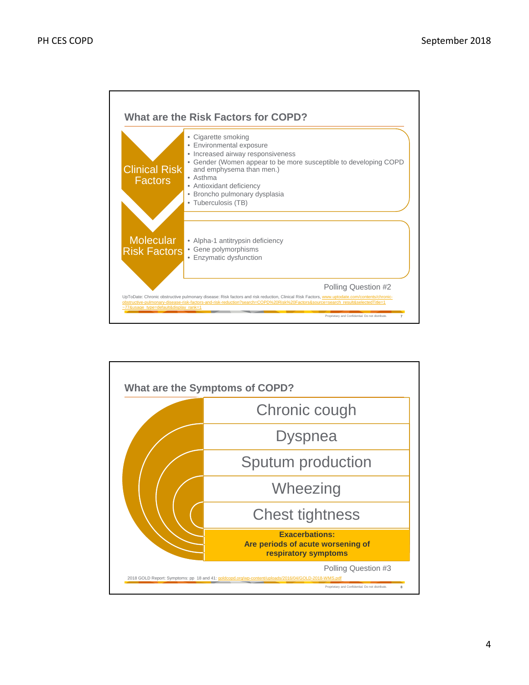

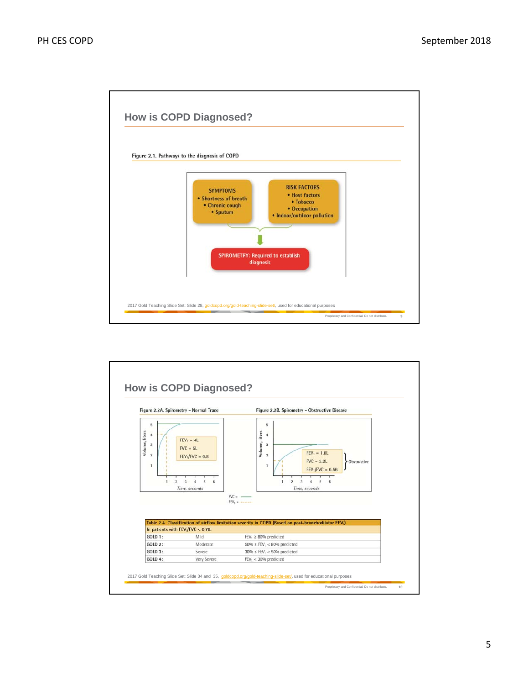

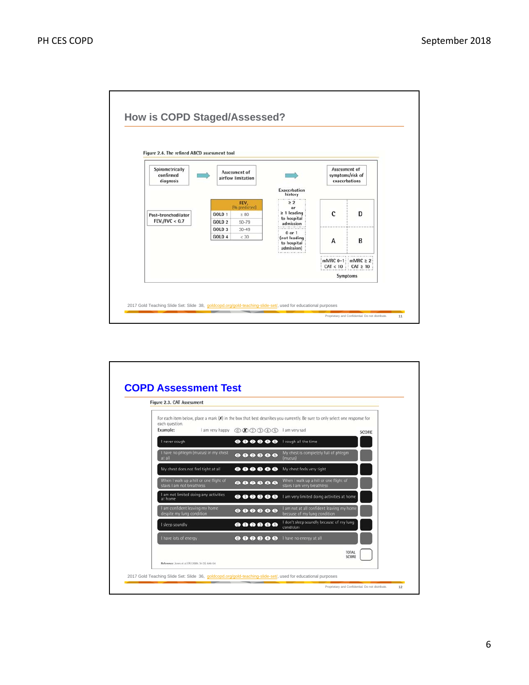

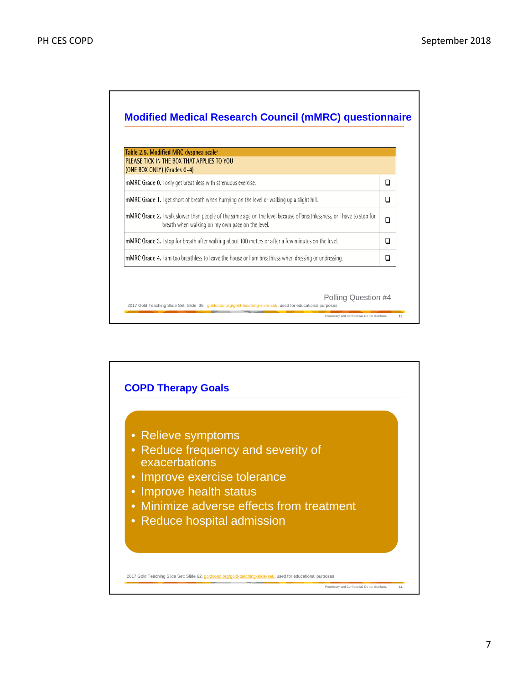

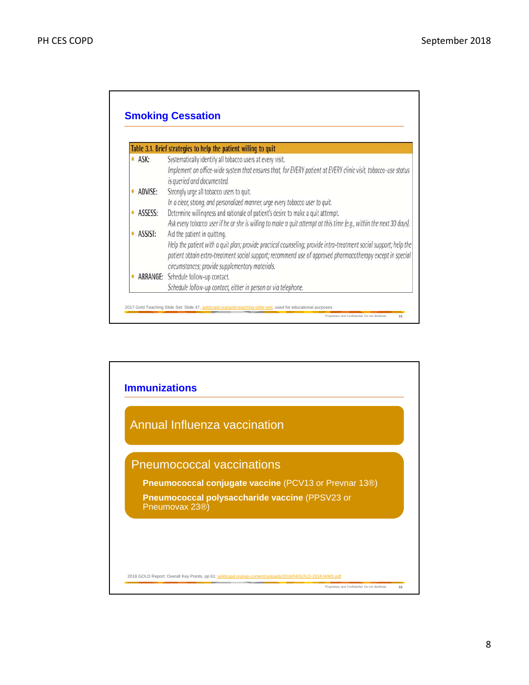|   |         | Table 3.1. Brief strategies to help the patient willing to quit                                                     |
|---|---------|---------------------------------------------------------------------------------------------------------------------|
| ٠ | ASK:    | Systematically identify all tobacco users at every visit.                                                           |
|   |         | Implement an office-wide system that ensures that, for EVERY patient at EVERY clinic visit, tobacco-use status      |
|   |         | is queried and documented.                                                                                          |
|   | ADVISE: | Strongly urge all tobacco users to quit.                                                                            |
|   |         | In a clear, strong, and personalized manner, urge every tobacco user to quit.                                       |
|   | ASSESS: | Determine willingness and rationale of patient's desire to make a quit attempt.                                     |
|   |         | Ask every tobacco user if he or she is willing to make a quit attempt at this time (e.g., within the next 30 days). |
| ٠ | ASSIST: | Aid the patient in quitting.                                                                                        |
|   |         | Help the patient with a quit plan; provide practical counseling; provide intra-treatment social support; help the   |
|   |         | patient obtain extra-treatment social support; recommend use of approved pharmacotherapy except in special          |
|   |         | circumstances; provide supplementary materials.                                                                     |
|   |         | ARRANGE: Schedule follow-up contact.                                                                                |
|   |         | Schedule follow-up contact, either in person or via telephone.                                                      |

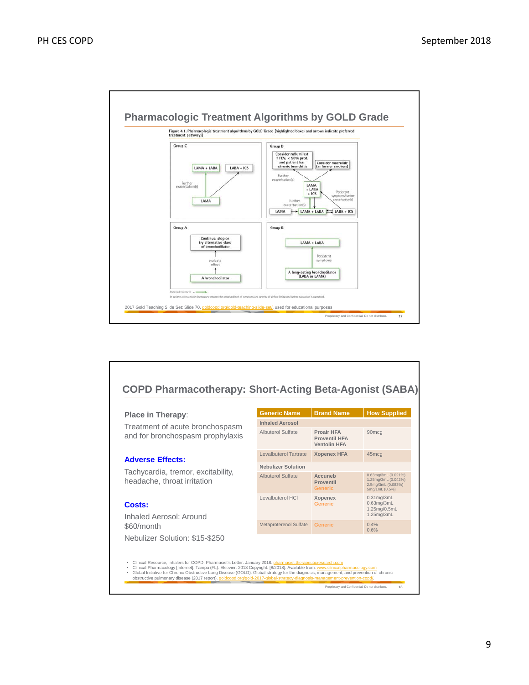

# **COPD Pharmacotherapy: Short-Acting Beta-Agonist (SABA)**

## **Place in Therapy**:

Treatment of acute bronchospasm and for bronchospasm prophylaxis

# **Adverse Effects:**

Tachycardia, tremor, excitability, headache, throat irritation

# **Costs:**

Inhaled Aerosol: Around \$60/month Nebulizer Solution: \$15-\$250

| <b>Generic Name</b>       | <b>Brand Name</b>                                                | <b>How Supplied</b>                                                                |
|---------------------------|------------------------------------------------------------------|------------------------------------------------------------------------------------|
| <b>Inhaled Aerosol</b>    |                                                                  |                                                                                    |
| <b>Albuterol Sulfate</b>  | <b>Proair HFA</b><br><b>Proventil HFA</b><br><b>Ventolin HFA</b> | 90 <sub>mcq</sub>                                                                  |
| Levalbuterol Tartrate     | <b>Xopenex HFA</b>                                               | 45 <sub>mcq</sub>                                                                  |
| <b>Nebulizer Solution</b> |                                                                  |                                                                                    |
| <b>Albuterol Sulfate</b>  | Accuneb<br><b>Proventil</b><br><b>Generic</b>                    | 0.63mg/3mL (0.021%)<br>1.25mg/3mL (0.042%)<br>2.5mg/3mL (0.083%)<br>5mg/1mL (0.5%) |
| Levalbuterol HCI          | <b>Xopenex</b><br><b>Generic</b>                                 | $0.31$ mg/ $3$ mL<br>$0.63$ mg/ $3$ mL<br>1.25mg/0.5mL<br>1.25mg/3mL               |
| Metaproterenol Sulfate    | <b>Generic</b>                                                   | 0.4%<br>0.6%                                                                       |

- 
- Clinical Resource, Inhalers for COPD. Pharmacist's Letter. January 2018. <u>pharmacist.therapeuticresearch.com</u><br>Clinical Pharmacology [Internet]. Tampa (FL): Elsevier. 2018 Copyright. [8/2018]. Available from: <u>www.clinicalp</u>

Proprietary and Confidential. Do not distribute. **18**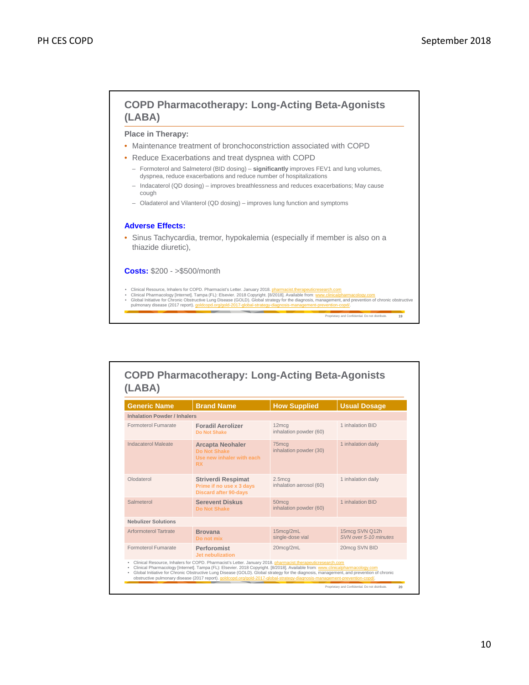

| <b>Generic Name</b>                 | <b>Brand Name</b>                                                                     | <b>How Supplied</b>                         | <b>Usual Dosage</b>                     |
|-------------------------------------|---------------------------------------------------------------------------------------|---------------------------------------------|-----------------------------------------|
| <b>Inhalation Powder / Inhalers</b> |                                                                                       |                                             |                                         |
| Formoterol Fumarate                 | <b>Foradil Aerolizer</b><br>Do Not Shake                                              | 12 <sub>mcq</sub><br>inhalation powder (60) | 1 inhalation BID                        |
| Indacaterol Maleate                 | <b>Arcapta Neohaler</b><br>Do Not Shake<br>Use new inhaler with each<br><b>RX</b>     | 75 <sub>mcq</sub><br>inhalation powder (30) | 1 inhalation daily                      |
| Olodaterol                          | <b>Striverdi Respimat</b><br>Prime if no use x 3 days<br><b>Discard after 90-days</b> | 2.5mcq<br>inhalation aerosol (60)           | 1 inhalation daily                      |
| Salmeterol                          | <b>Serevent Diskus</b><br>Do Not Shake                                                | 50 <sub>mcq</sub><br>inhalation powder (60) | 1 inhalation BID                        |
| <b>Nebulizer Solutions</b>          |                                                                                       |                                             |                                         |
| <b>Arformoterol Tartrate</b>        | <b>Brovana</b><br>Do not mix                                                          | 15mcq/2mL<br>single-dose vial               | 15mcg SVN Q12h<br>SVN over 5-10 minutes |
| Formoterol Fumarate                 | Perforomist<br>Jet nebulization                                                       | 20mcq/2mL                                   | 20mcg SVN BID                           |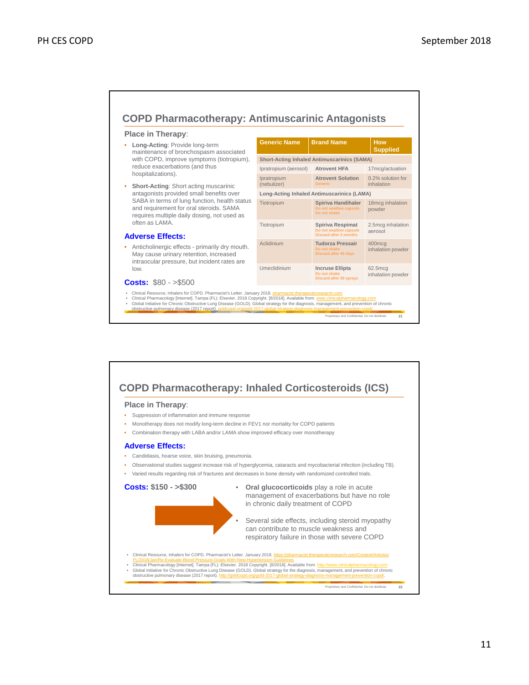# **COPD Pharmacotherapy: Antimuscarinic Antagonists**

Ipratropium (nebulizer)

Generic Name | Brand Name | How

Ipratropium (aerosol) **Atrovent HFA** 17mcg/actuation

**Atrovent Solution Generic**

Tiotropium **Spiriva Handihaler** 18mcg inhalation **Do not swallow capsule Do not shake**

**Do not swallow capsule Discard after 3 months**

**Do not shake Discard after 45 days**

**Do not shake Discard after 30 sprays**

**Short-Acting Inhaled Antimuscarinics (SAMA)**

**Long-Acting Inhaled Antimuscarinics (LAMA)**

Tiotropium **Spiriva Respimat**

Aclidinium **Tudorza Pressair**

Umeclidinium **Incruse Ellipta**

#### **Place in Therapy**:

- **Long-Acting**: Provide long-term maintenance of bronchospasm associated with COPD, improve symptoms (tiotropium), reduce exacerbations (and thus hospitalizations).
- **Short-Acting**: Short acting muscarinic antagonists provided small benefits over SABA in terms of lung function, health status and requirement for oral steroids. SAMA requires multiple daily dosing, not used as often as LAMA.

#### **Adverse Effects:**

• Anticholinergic effects - primarily dry mouth. May cause urinary retention, increased intraocular pressure, but incident rates are low.

#### **Costs:** \$80 - >\$500

- 
- 
- Clinical Resource, Inhalers for COPD. Pharmacist's Letter. January 2018. **pharmacist.therapeuticresearch.com**<br>Clinical Pharmacology [Internet]. Tampa (FL): Elsevier. 2018 Copyright. [8/2018]. Available from: <u>www.clinicalp</u>

Proprietary and Confidential. Do not distribute. **21**

**Supplied**

0.2% solution for inhalation

2.5mcg inhalation aerosol

powder

400mcg inhalation powder

62.5mcg inhalation powder

# **COPD Pharmacotherapy: Inhaled Corticosteroids (ICS)**

## **Place in Therapy**:

- Suppression of inflammation and immune response
- Monotherapy does not modify long-term decline in FEV1 nor mortality for COPD patients
- Combination therapy with LABA and/or LAMA show improved efficacy over monotherapy

#### **Adverse Effects:**

- Candidiasis, hoarse voice, skin bruising, pneumonia.
- Observational studies suggest increase risk of hyperglycemia, cataracts and mycobacterial infection (including TB).
- Varied results regarding risk of fractures and decreases in bone density with randomized controlled trials.

**Costs: \$150 - >\$300**

• **Oral glucocorticoids** play a role in acute management of exacerbations but have no role in chronic daily treatment of COPD

Several side effects, including steroid myopathy can contribute to muscle weakness and respiratory failure in those with severe COPD

Clinical Resource, Inhalers for COPD. Pharmacist's Letter. January 2018. https://

PL/2018/Jan/Re-Evaluate-Blood-Pressure-Goals-With-New-Hypertension-Guidelines<br>• Clinical Pharmacology [Internet]. Tampa (FL): Elsevier. 2018 Copyright. [8/2018]. Available from: http://www.clinicalpharmacology.com<br>• Global

Proprietary and Confidential. Do not distribute. **22**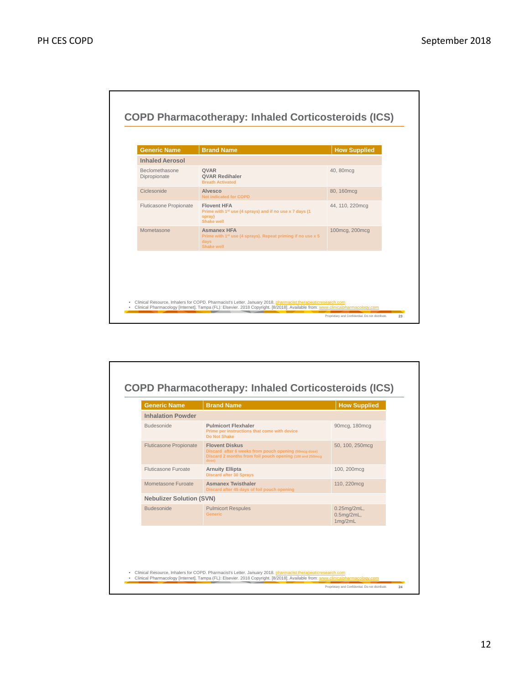

| <b>Inhalation Powder</b><br><b>Budesonide</b><br><b>Pulmicort Flexhaler</b><br>90mcg, 180mcg<br>Prime per instructions that come with device<br>Do Not Shake<br><b>Fluticasone Propionate</b><br><b>Flovent Diskus</b><br>50, 100, 250mcq<br>Discard after 6 weeks from pouch opening (50mcg dose)<br>Discard 2 months from foil pouch opening (100 and 250mcg)<br>dose)<br><b>Eluticasone Euroate</b><br><b>Arnuity Ellipta</b><br>100, 200mcg<br><b>Discard after 30 Sprays</b> |  |  |  |  |
|-----------------------------------------------------------------------------------------------------------------------------------------------------------------------------------------------------------------------------------------------------------------------------------------------------------------------------------------------------------------------------------------------------------------------------------------------------------------------------------|--|--|--|--|
|                                                                                                                                                                                                                                                                                                                                                                                                                                                                                   |  |  |  |  |
|                                                                                                                                                                                                                                                                                                                                                                                                                                                                                   |  |  |  |  |
|                                                                                                                                                                                                                                                                                                                                                                                                                                                                                   |  |  |  |  |
|                                                                                                                                                                                                                                                                                                                                                                                                                                                                                   |  |  |  |  |
| Mometasone Furoate<br><b>Asmanex Twisthaler</b><br>110, 220mcg<br>Discard after 45 days of foil pouch opening                                                                                                                                                                                                                                                                                                                                                                     |  |  |  |  |
| <b>Nebulizer Solution (SVN)</b>                                                                                                                                                                                                                                                                                                                                                                                                                                                   |  |  |  |  |
| <b>Budesonide</b><br><b>Pulmicort Respules</b><br>0.25mg/2mL,<br><b>Generic</b><br>$0.5$ mg/2mL,<br>1mg/2mL                                                                                                                                                                                                                                                                                                                                                                       |  |  |  |  |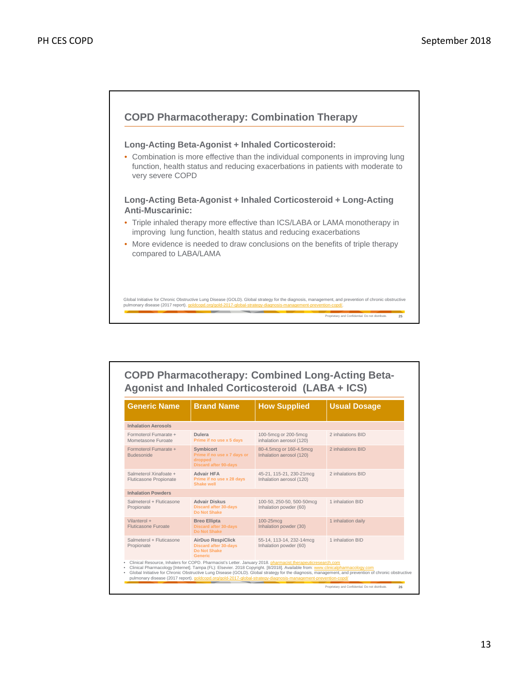

| <b>COPD Pharmacotherapy: Combined Long-Acting Beta-</b> |  |
|---------------------------------------------------------|--|
| Agonist and Inhaled Corticosteroid (LABA + ICS)         |  |

| <b>Generic Name</b>                              | <b>Brand Name</b>                                                                                 | <b>How Supplied</b>                                                                                                                                                                                                                                                                                                                                            | <b>Usual Dosage</b>                                                                                                                                 |
|--------------------------------------------------|---------------------------------------------------------------------------------------------------|----------------------------------------------------------------------------------------------------------------------------------------------------------------------------------------------------------------------------------------------------------------------------------------------------------------------------------------------------------------|-----------------------------------------------------------------------------------------------------------------------------------------------------|
| <b>Inhalation Aerosols</b>                       |                                                                                                   |                                                                                                                                                                                                                                                                                                                                                                |                                                                                                                                                     |
| Formoterol Fumarate +<br>Mometasone Furoate      | Dulera<br>Prime if no use x 5 days                                                                | 100-5mcg or 200-5mcg<br>inhalation aerosol (120)                                                                                                                                                                                                                                                                                                               | 2 inhalations BID                                                                                                                                   |
| Formoterol Fumarate +<br><b>Budesonide</b>       | <b>Symbicort</b><br>Prime if no use x 7 days or<br>dropped<br><b>Discard after 90-days</b>        | 80-4.5mcg or 160-4.5mcg<br>Inhalation aerosol (120)                                                                                                                                                                                                                                                                                                            | 2 inhalations BID                                                                                                                                   |
| Salmeterol Xinafoate +<br>Fluticasone Propionate | <b>Advair HFA</b><br>Prime if no use x 28 days<br><b>Shake well</b>                               | 45-21, 115-21, 230-21mcg<br>Inhalation aerosol (120)                                                                                                                                                                                                                                                                                                           | 2 inhalations BID                                                                                                                                   |
| <b>Inhalation Powders</b>                        |                                                                                                   |                                                                                                                                                                                                                                                                                                                                                                |                                                                                                                                                     |
| Salmeterol + Fluticasone<br>Propionate           | <b>Advair Diskus</b><br><b>Discard after 30-days</b><br>Do Not Shake                              | 100-50, 250-50, 500-50mcq<br>Inhalation powder (60)                                                                                                                                                                                                                                                                                                            | 1 inhalation BID                                                                                                                                    |
| Vilanterol +<br><b>Fluticasone Furoate</b>       | <b>Breo Ellipta</b><br><b>Discard after 30-days</b><br>Do Not Shake                               | 100-25mcg<br>Inhalation powder (30)                                                                                                                                                                                                                                                                                                                            | 1 inhalation daily                                                                                                                                  |
| Salmeterol + Fluticasone<br>Propionate           | <b>AirDuo RespiClick</b><br><b>Discard after 30-days</b><br><b>Do Not Shake</b><br><b>Generic</b> | 55-14, 113-14, 232-14mcg<br>Inhalation powder (60)                                                                                                                                                                                                                                                                                                             | 1 inhalation BID                                                                                                                                    |
|                                                  |                                                                                                   | Clinical Resource, Inhalers for COPD. Pharmacist's Letter. January 2018. pharmacist.therapeuticresearch.com<br>Clinical Pharmacology [Internet]. Tampa (FL): Elsevier. 2018 Copyright. [8/2018]. Available from: www.clinicalpharmacology.com<br>pulmonary disease (2017 report). goldcopd.org/gold-2017-global-strategy-diagnosis-management-prevention-copd/ | Global Initiative for Chronic Obstructive Lung Disease (GOLD). Global strategy for the diagnosis, management, and prevention of chronic obstructive |
|                                                  |                                                                                                   |                                                                                                                                                                                                                                                                                                                                                                | Proprietary and Confidential. Do not distribute.<br>26                                                                                              |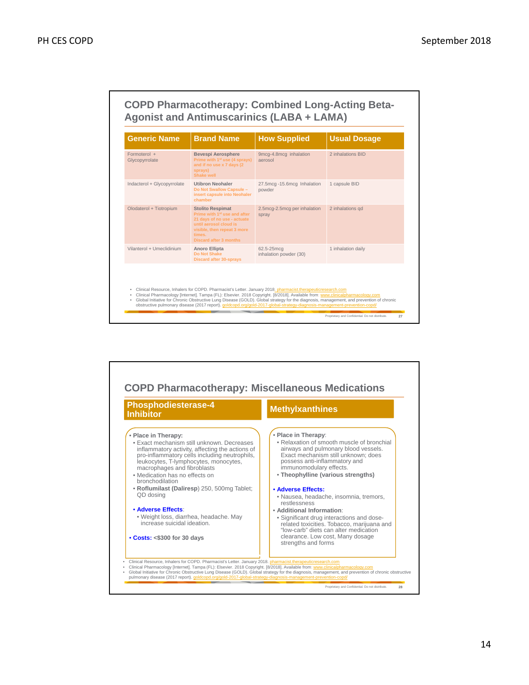

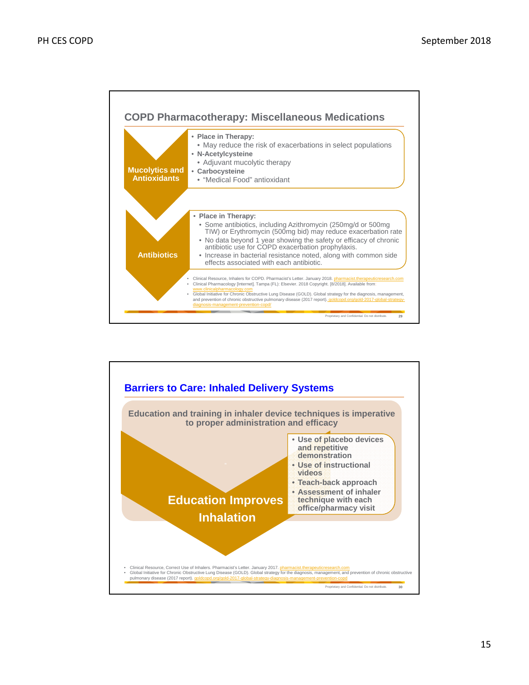

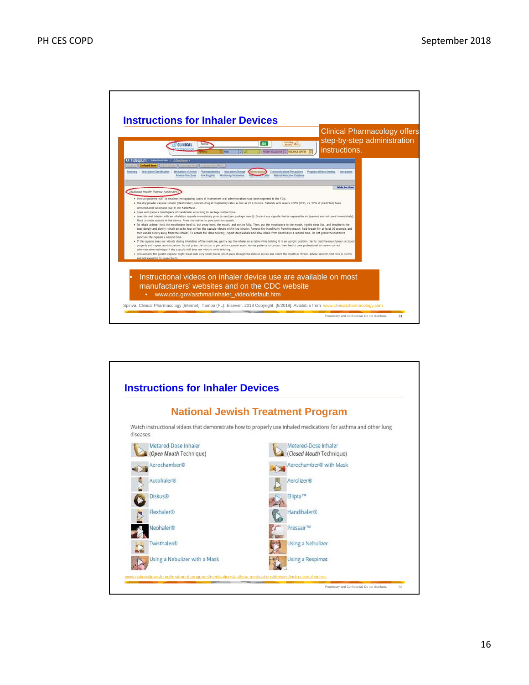

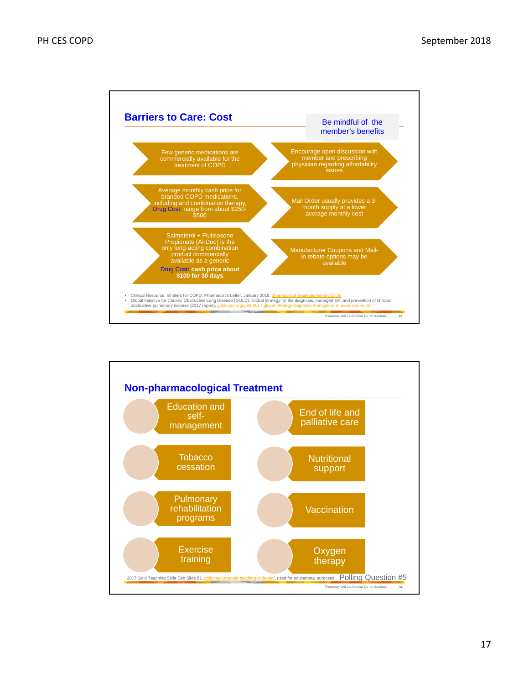

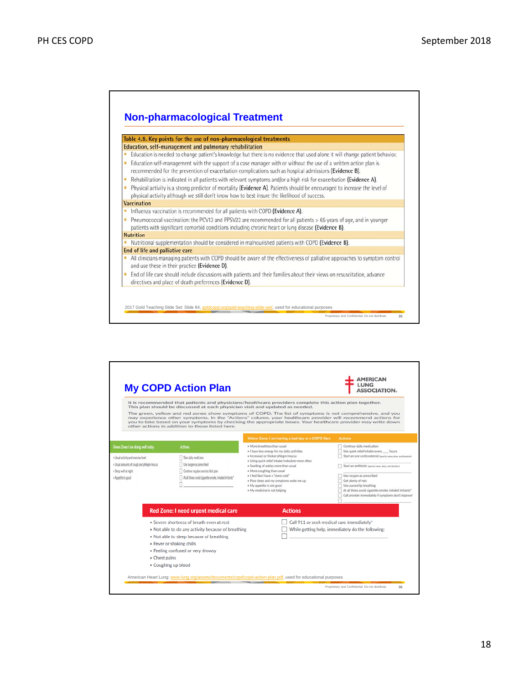

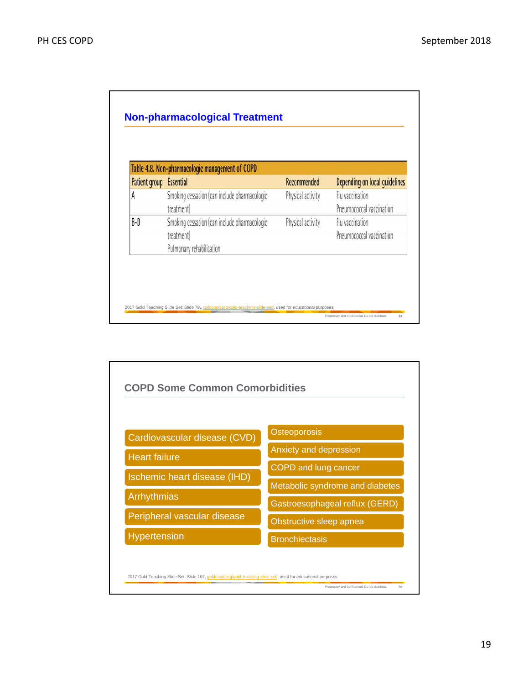|               | Table 4.8. Non-pharmacologic management of COPD                                        |                   |                                             |
|---------------|----------------------------------------------------------------------------------------|-------------------|---------------------------------------------|
| Patient group | <b>Essential</b>                                                                       | Recommended       | Depending on local quidelines               |
| A             | Smoking cessation (can include pharmacologic<br>treatment)                             | Physical activity | Flu vaccination<br>Pneumococcal vaccination |
| B-D           | Smoking cessation (can include pharmacologic<br>treatment)<br>Pulmonary rehabilitation | Physical activity | Flu vaccination<br>Pneumococcal vaccination |

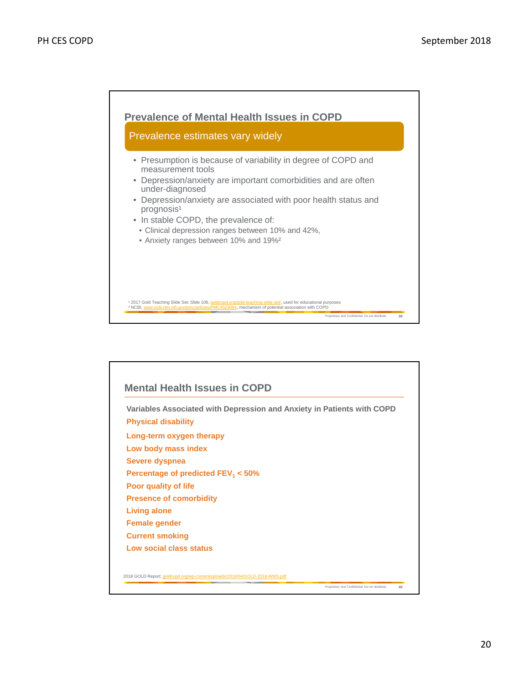

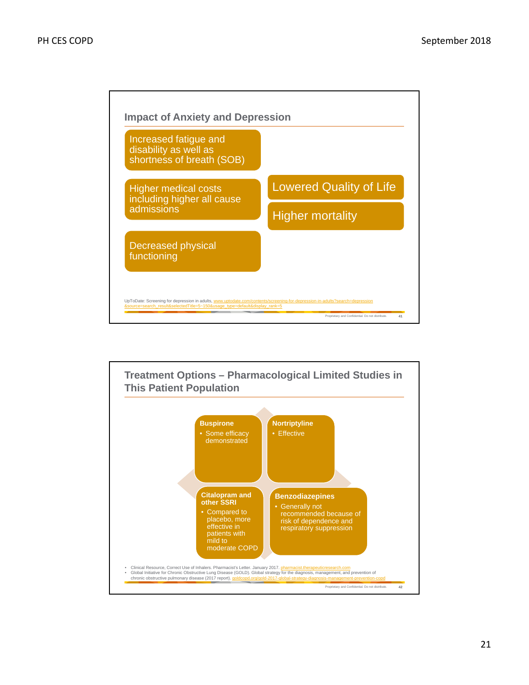

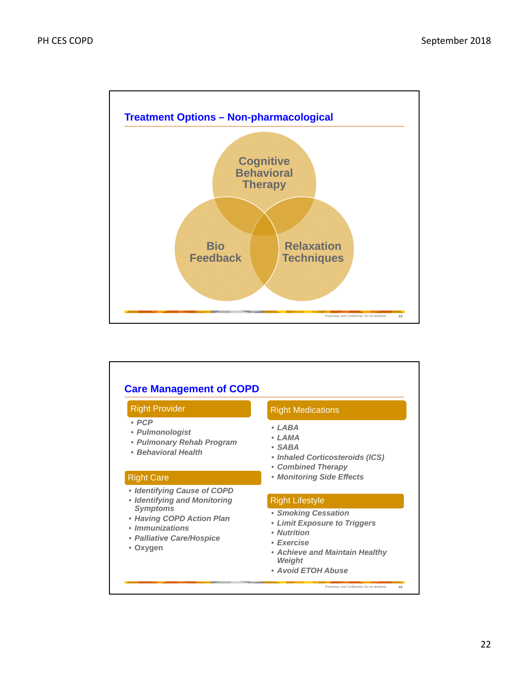

| <b>Right Provider</b>                                                                                                                                                          | <b>Right Medications</b>                                                                                                                                                            |
|--------------------------------------------------------------------------------------------------------------------------------------------------------------------------------|-------------------------------------------------------------------------------------------------------------------------------------------------------------------------------------|
| $\cdot$ PCP<br>• Pulmonologist<br>• Pulmonary Rehab Program<br>• Behavioral Health                                                                                             | • I ARA<br>• I AMA<br>$\bullet$ SARA<br>• Inhaled Corticosteroids (ICS)<br>• Combined Therapy                                                                                       |
| <b>Right Care</b>                                                                                                                                                              | • Monitoring Side Effects                                                                                                                                                           |
| • Identifying Cause of COPD<br>• Identifying and Monitoring<br><b>Symptoms</b><br>• Having COPD Action Plan<br>• <i>Immunizations</i><br>• Palliative Care/Hospice<br>• Oxygen | <b>Right Lifestyle</b><br>• Smoking Cessation<br>• Limit Exposure to Triggers<br>• Nutrition<br>• Exercise<br>• Achieve and Maintain Healthy<br><b>Weight</b><br>• Avoid ETOH Abuse |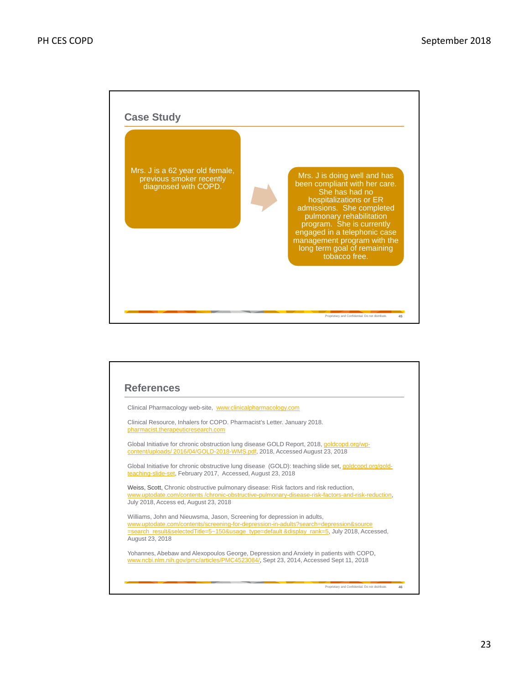

|                 | Clinical Pharmacology web-site, www.clinicalpharmacology.com                                                                                                                                                                                                    |
|-----------------|-----------------------------------------------------------------------------------------------------------------------------------------------------------------------------------------------------------------------------------------------------------------|
|                 | Clinical Resource, Inhalers for COPD. Pharmacist's Letter. January 2018.<br>pharmacist.therapeuticresearch.com                                                                                                                                                  |
|                 | Global Initiative for chronic obstruction lung disease GOLD Report, 2018, goldcopd.org/wp-<br>content/uploads/2016/04/GOLD-2018-WMS.pdf, 2018, Accessed August 23, 2018                                                                                         |
|                 | Global Initiative for chronic obstructive lung disease (GOLD): teaching slide set, goldcopd.org/gold-<br>teaching-slide-set, February 2017, Accessed, August 23, 2018                                                                                           |
|                 | Weiss, Scott, Chronic obstructive pulmonary disease: Risk factors and risk reduction,<br>www.uptodate.com/contents/chronic-obstructive-pulmonary-disease-risk-factors-and-risk-reduction,<br>July 2018, Access ed, August 23, 2018                              |
| August 23, 2018 | Williams, John and Nieuwsma, Jason, Screening for depression in adults,<br>www.uptodate.com/contents/screening-for-depression-in-adults?search=depression&source<br>=search_result&selectedTitle=5~150&usage_type=default &display_rank=5, July 2018, Accessed, |
|                 | Yohannes, Abebaw and Alexopoulos George, Depression and Anxiety in patients with COPD,<br>www.ncbi.nlm.nih.gov/pmc/articles/PMC4523084/, Sept 23, 2014, Accessed Sept 11, 2018                                                                                  |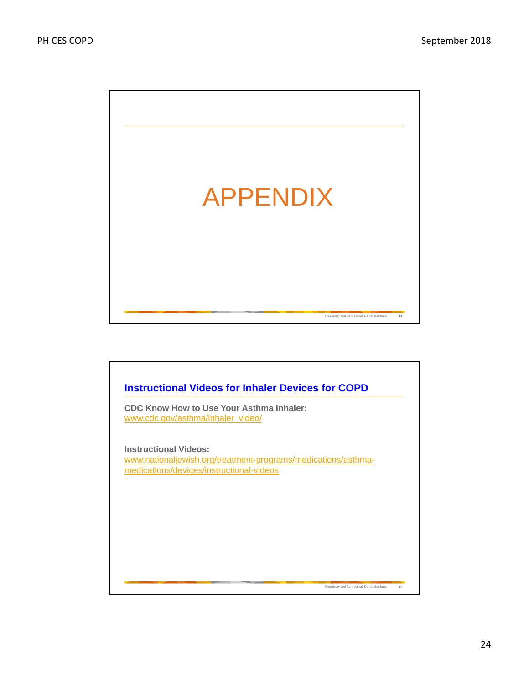